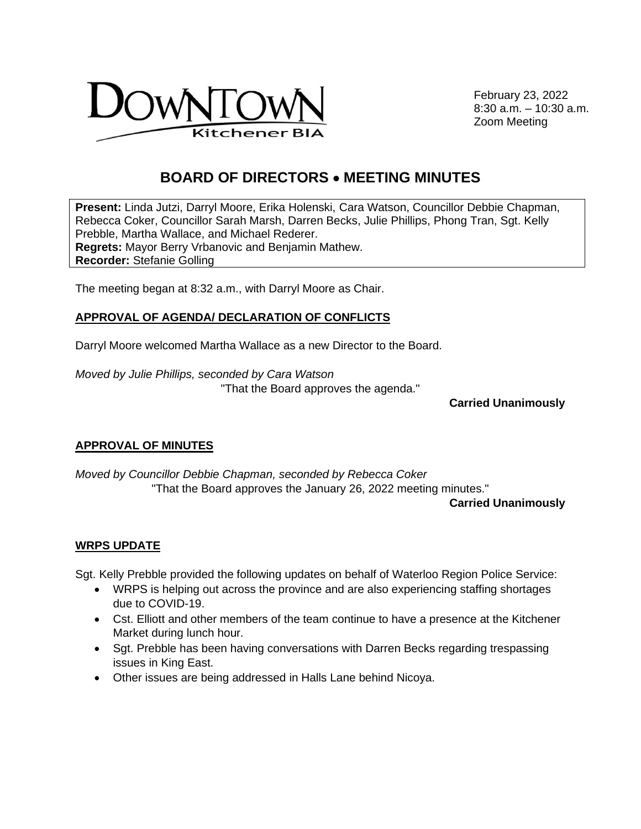

February 23, 2022 8:30 a.m. – 10:30 a.m. Zoom Meeting

# **BOARD OF DIRECTORS** • **MEETING MINUTES**

**Present:** Linda Jutzi, Darryl Moore, Erika Holenski, Cara Watson, Councillor Debbie Chapman, Rebecca Coker, Councillor Sarah Marsh, Darren Becks, Julie Phillips, Phong Tran, Sgt. Kelly Prebble, Martha Wallace, and Michael Rederer. **Regrets:** Mayor Berry Vrbanovic and Benjamin Mathew. **Recorder:** Stefanie Golling

The meeting began at 8:32 a.m., with Darryl Moore as Chair.

### **APPROVAL OF AGENDA/ DECLARATION OF CONFLICTS**

Darryl Moore welcomed Martha Wallace as a new Director to the Board.

*Moved by Julie Phillips, seconded by Cara Watson*  "That the Board approves the agenda."

**Carried Unanimously** 

#### **APPROVAL OF MINUTES**

*Moved by Councillor Debbie Chapman, seconded by Rebecca Coker* "That the Board approves the January 26, 2022 meeting minutes."

**Carried Unanimously**

#### **WRPS UPDATE**

Sgt. Kelly Prebble provided the following updates on behalf of Waterloo Region Police Service:

- WRPS is helping out across the province and are also experiencing staffing shortages due to COVID-19.
- Cst. Elliott and other members of the team continue to have a presence at the Kitchener Market during lunch hour.
- Sgt. Prebble has been having conversations with Darren Becks regarding trespassing issues in King East.
- Other issues are being addressed in Halls Lane behind Nicoya.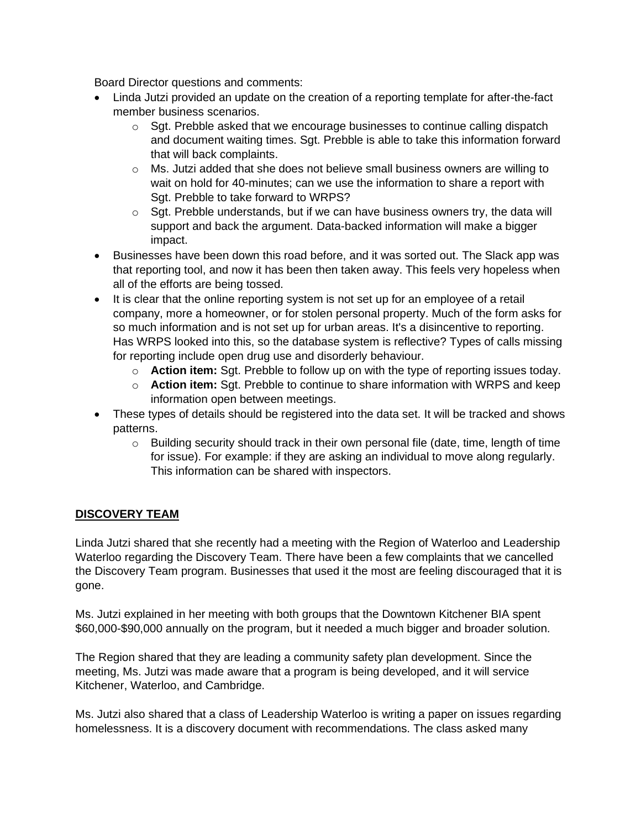Board Director questions and comments:

- Linda Jutzi provided an update on the creation of a reporting template for after-the-fact member business scenarios.
	- $\circ$  Sgt. Prebble asked that we encourage businesses to continue calling dispatch and document waiting times. Sgt. Prebble is able to take this information forward that will back complaints.
	- o Ms. Jutzi added that she does not believe small business owners are willing to wait on hold for 40-minutes; can we use the information to share a report with Sgt. Prebble to take forward to WRPS?
	- $\circ$  Sgt. Prebble understands, but if we can have business owners try, the data will support and back the argument. Data-backed information will make a bigger impact.
- Businesses have been down this road before, and it was sorted out. The Slack app was that reporting tool, and now it has been then taken away. This feels very hopeless when all of the efforts are being tossed.
- It is clear that the online reporting system is not set up for an employee of a retail company, more a homeowner, or for stolen personal property. Much of the form asks for so much information and is not set up for urban areas. It's a disincentive to reporting. Has WRPS looked into this, so the database system is reflective? Types of calls missing for reporting include open drug use and disorderly behaviour.
	- o **Action item:** Sgt. Prebble to follow up on with the type of reporting issues today.
	- o **Action item:** Sgt. Prebble to continue to share information with WRPS and keep information open between meetings.
- These types of details should be registered into the data set. It will be tracked and shows patterns.
	- o Building security should track in their own personal file (date, time, length of time for issue). For example: if they are asking an individual to move along regularly. This information can be shared with inspectors.

# **DISCOVERY TEAM**

Linda Jutzi shared that she recently had a meeting with the Region of Waterloo and Leadership Waterloo regarding the Discovery Team. There have been a few complaints that we cancelled the Discovery Team program. Businesses that used it the most are feeling discouraged that it is gone.

Ms. Jutzi explained in her meeting with both groups that the Downtown Kitchener BIA spent \$60,000-\$90,000 annually on the program, but it needed a much bigger and broader solution.

The Region shared that they are leading a community safety plan development. Since the meeting, Ms. Jutzi was made aware that a program is being developed, and it will service Kitchener, Waterloo, and Cambridge.

Ms. Jutzi also shared that a class of Leadership Waterloo is writing a paper on issues regarding homelessness. It is a discovery document with recommendations. The class asked many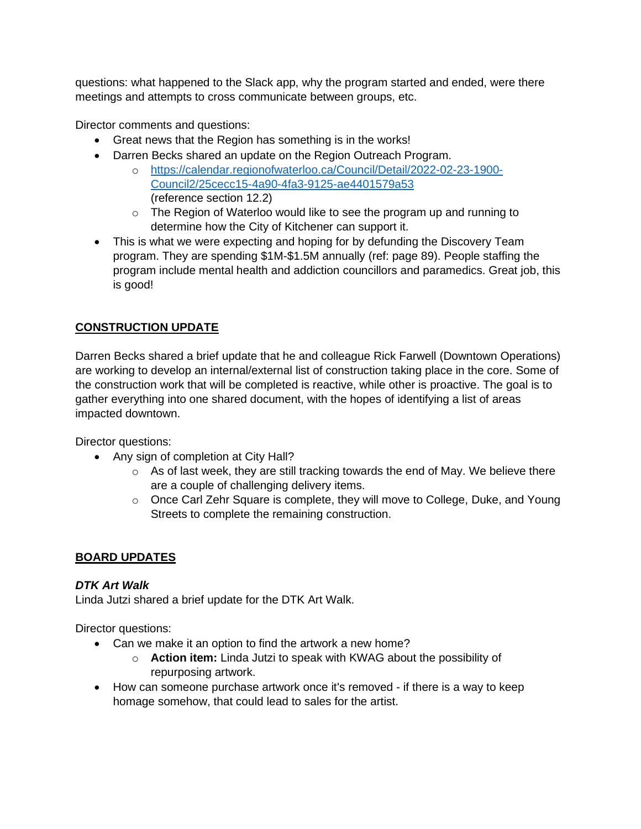questions: what happened to the Slack app, why the program started and ended, were there meetings and attempts to cross communicate between groups, etc.

Director comments and questions:

- Great news that the Region has something is in the works!
- Darren Becks shared an update on the Region Outreach Program.
	- o [https://calendar.regionofwaterloo.ca/Council/Detail/2022-02-23-1900-](https://calendar.regionofwaterloo.ca/Council/Detail/2022-02-23-1900-Council2/25cecc15-4a90-4fa3-9125-ae4401579a53) [Council2/25cecc15-4a90-4fa3-9125-ae4401579a53](https://calendar.regionofwaterloo.ca/Council/Detail/2022-02-23-1900-Council2/25cecc15-4a90-4fa3-9125-ae4401579a53) (reference section 12.2)
	- o The Region of Waterloo would like to see the program up and running to determine how the City of Kitchener can support it.
- This is what we were expecting and hoping for by defunding the Discovery Team program. They are spending \$1M-\$1.5M annually (ref: page 89). People staffing the program include mental health and addiction councillors and paramedics. Great job, this is good!

## **CONSTRUCTION UPDATE**

Darren Becks shared a brief update that he and colleague Rick Farwell (Downtown Operations) are working to develop an internal/external list of construction taking place in the core. Some of the construction work that will be completed is reactive, while other is proactive. The goal is to gather everything into one shared document, with the hopes of identifying a list of areas impacted downtown.

Director questions:

- Any sign of completion at City Hall?
	- $\circ$  As of last week, they are still tracking towards the end of May. We believe there are a couple of challenging delivery items.
	- o Once Carl Zehr Square is complete, they will move to College, Duke, and Young Streets to complete the remaining construction.

### **BOARD UPDATES**

### *DTK Art Walk*

Linda Jutzi shared a brief update for the DTK Art Walk.

Director questions:

- Can we make it an option to find the artwork a new home?
	- o **Action item:** Linda Jutzi to speak with KWAG about the possibility of repurposing artwork.
- How can someone purchase artwork once it's removed if there is a way to keep homage somehow, that could lead to sales for the artist.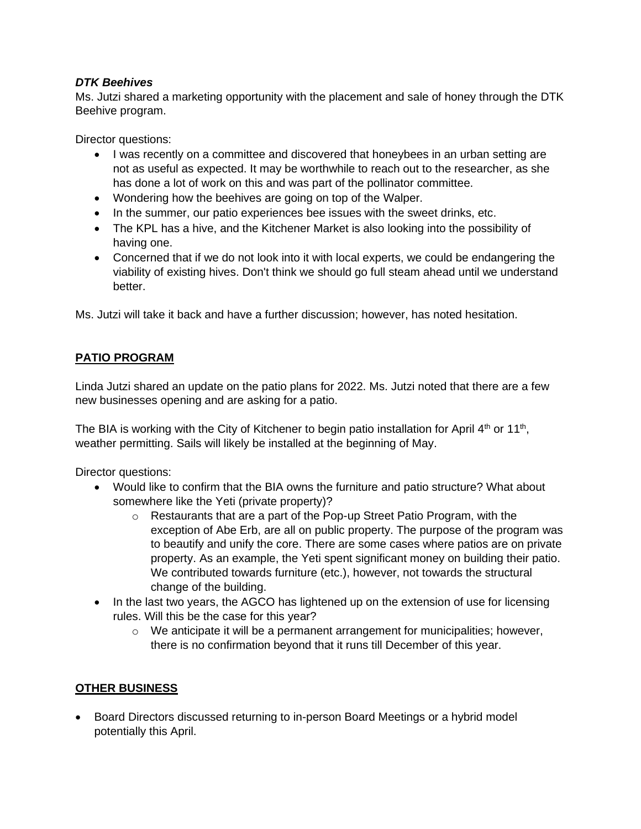### *DTK Beehives*

Ms. Jutzi shared a marketing opportunity with the placement and sale of honey through the DTK Beehive program.

Director questions:

- I was recently on a committee and discovered that honeybees in an urban setting are not as useful as expected. It may be worthwhile to reach out to the researcher, as she has done a lot of work on this and was part of the pollinator committee.
- Wondering how the beehives are going on top of the Walper.
- In the summer, our patio experiences bee issues with the sweet drinks, etc.
- The KPL has a hive, and the Kitchener Market is also looking into the possibility of having one.
- Concerned that if we do not look into it with local experts, we could be endangering the viability of existing hives. Don't think we should go full steam ahead until we understand better.

Ms. Jutzi will take it back and have a further discussion; however, has noted hesitation.

### **PATIO PROGRAM**

Linda Jutzi shared an update on the patio plans for 2022. Ms. Jutzi noted that there are a few new businesses opening and are asking for a patio.

The BIA is working with the City of Kitchener to begin patio installation for April  $4<sup>th</sup>$  or 11<sup>th</sup>, weather permitting. Sails will likely be installed at the beginning of May.

Director questions:

- Would like to confirm that the BIA owns the furniture and patio structure? What about somewhere like the Yeti (private property)?
	- o Restaurants that are a part of the Pop-up Street Patio Program, with the exception of Abe Erb, are all on public property. The purpose of the program was to beautify and unify the core. There are some cases where patios are on private property. As an example, the Yeti spent significant money on building their patio. We contributed towards furniture (etc.), however, not towards the structural change of the building.
- In the last two years, the AGCO has lightened up on the extension of use for licensing rules. Will this be the case for this year?
	- $\circ$  We anticipate it will be a permanent arrangement for municipalities; however, there is no confirmation beyond that it runs till December of this year.

### **OTHER BUSINESS**

• Board Directors discussed returning to in-person Board Meetings or a hybrid model potentially this April.